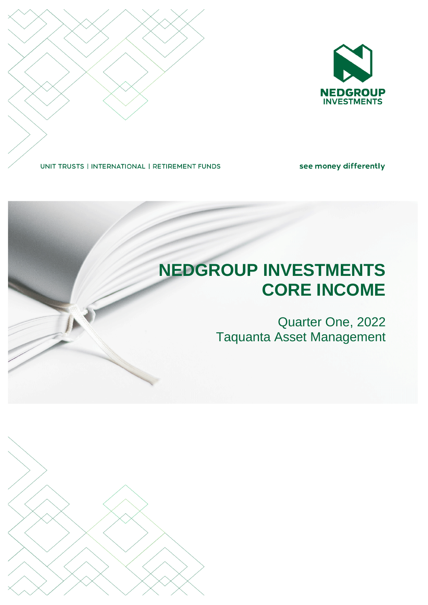

UNIT TRUSTS | INTERNATIONAL | RETIREMENT FUNDS

see money differently

# **NEDGROUP INVESTMENTS CORE INCOME** Quarter One, 2022 Taquanta Asset Management

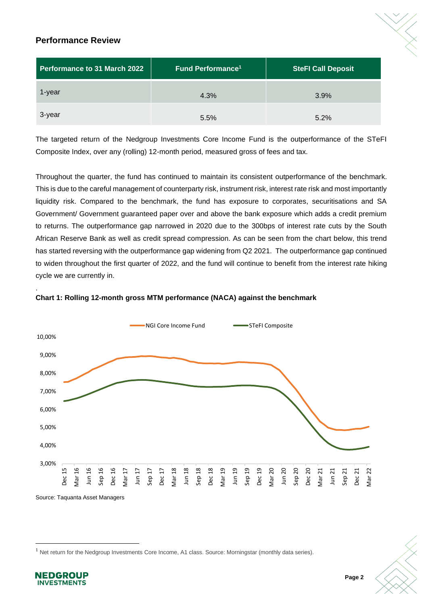# **Performance Review**

| Performance to 31 March 2022 | Fund Performance <sup>1</sup> | <b>SteFI Call Deposit</b> |
|------------------------------|-------------------------------|---------------------------|
| 1-year                       | 4.3%                          | 3.9%                      |
| 3-year                       | 5.5%                          | 5.2%                      |

The targeted return of the Nedgroup Investments Core Income Fund is the outperformance of the STeFI Composite Index, over any (rolling) 12-month period, measured gross of fees and tax.

Throughout the quarter, the fund has continued to maintain its consistent outperformance of the benchmark. This is due to the careful management of counterparty risk, instrument risk, interest rate risk and most importantly liquidity risk. Compared to the benchmark, the fund has exposure to corporates, securitisations and SA Government/ Government guaranteed paper over and above the bank exposure which adds a credit premium to returns. The outperformance gap narrowed in 2020 due to the 300bps of interest rate cuts by the South African Reserve Bank as well as credit spread compression. As can be seen from the chart below, this trend has started reversing with the outperformance gap widening from Q2 2021. The outperformance gap continued to widen throughout the first quarter of 2022, and the fund will continue to benefit from the interest rate hiking cycle we are currently in.





<sup>1</sup> Net return for the Nedgroup Investments Core Income, A1 class. Source: Morningstar (monthly data series).



.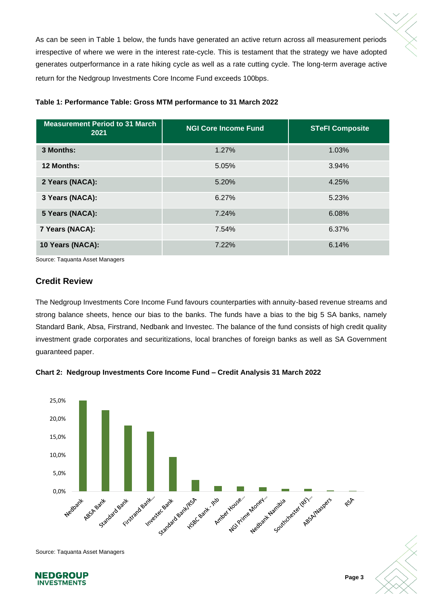As can be seen in Table 1 below, the funds have generated an active return across all measurement periods irrespective of where we were in the interest rate-cycle. This is testament that the strategy we have adopted generates outperformance in a rate hiking cycle as well as a rate cutting cycle. The long-term average active return for the Nedgroup Investments Core Income Fund exceeds 100bps.

| <b>Measurement Period to 31 March</b><br>2021 | <b>NGI Core Income Fund</b> | <b>STeFI Composite</b> |
|-----------------------------------------------|-----------------------------|------------------------|
| 3 Months:                                     | 1.27%                       | 1.03%                  |
| 12 Months:                                    | 5.05%                       | 3.94%                  |
| 2 Years (NACA):                               | 5.20%                       | 4.25%                  |
| 3 Years (NACA):                               | 6.27%                       | 5.23%                  |
| 5 Years (NACA):                               | 7.24%                       | 6.08%                  |
| 7 Years (NACA):                               | 7.54%                       | 6.37%                  |
| 10 Years (NACA):                              | 7.22%                       | 6.14%                  |

#### **Table 1: Performance Table: Gross MTM performance to 31 March 2022**

Source: Taquanta Asset Managers

## **Credit Review**

The Nedgroup Investments Core Income Fund favours counterparties with annuity-based revenue streams and strong balance sheets, hence our bias to the banks. The funds have a bias to the big 5 SA banks, namely Standard Bank, Absa, Firstrand, Nedbank and Investec. The balance of the fund consists of high credit quality investment grade corporates and securitizations, local branches of foreign banks as well as SA Government guaranteed paper.





Source: Taquanta Asset Managers



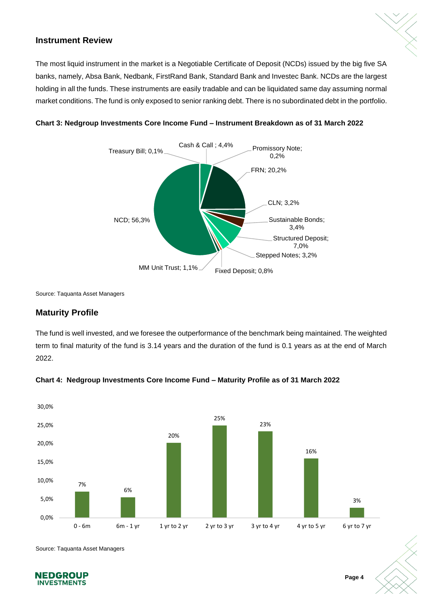# **Instrument Review**

The most liquid instrument in the market is a Negotiable Certificate of Deposit (NCDs) issued by the big five SA banks, namely, Absa Bank, Nedbank, FirstRand Bank, Standard Bank and Investec Bank. NCDs are the largest holding in all the funds. These instruments are easily tradable and can be liquidated same day assuming normal market conditions. The fund is only exposed to senior ranking debt. There is no subordinated debt in the portfolio.



#### **Chart 3: Nedgroup Investments Core Income Fund – Instrument Breakdown as of 31 March 2022**

Source: Taquanta Asset Managers

# **Maturity Profile**

The fund is well invested, and we foresee the outperformance of the benchmark being maintained. The weighted term to final maturity of the fund is 3.14 years and the duration of the fund is 0.1 years as at the end of March 2022.



#### **Chart 4: Nedgroup Investments Core Income Fund – Maturity Profile as of 31 March 2022**

Source: Taquanta Asset Managers

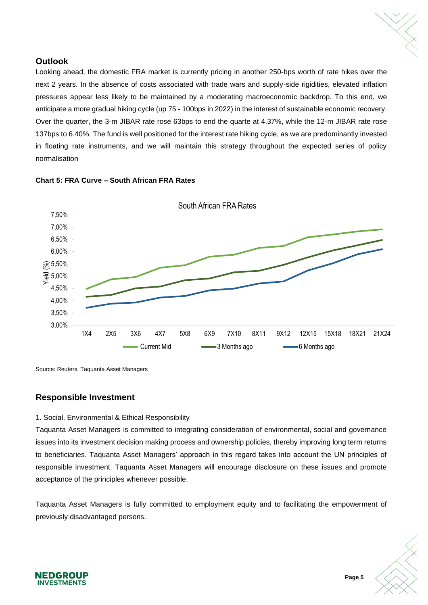

# **Outlook**

Looking ahead, the domestic FRA market is currently pricing in another 250-bps worth of rate hikes over the next 2 years. In the absence of costs associated with trade wars and supply-side rigidities, elevated inflation pressures appear less likely to be maintained by a moderating macroeconomic backdrop. To this end, we anticipate a more gradual hiking cycle (up 75 - 100bps in 2022) in the interest of sustainable economic recovery. Over the quarter, the 3-m JIBAR rate rose 63bps to end the quarte at 4.37%, while the 12-m JIBAR rate rose 137bps to 6.40%. The fund is well positioned for the interest rate hiking cycle, as we are predominantly invested in floating rate instruments, and we will maintain this strategy throughout the expected series of policy normalisation



#### **Chart 5: FRA Curve – South African FRA Rates**

Source: Reuters, Taquanta Asset Managers

## **Responsible Investment**

#### 1. Social, Environmental & Ethical Responsibility

Taquanta Asset Managers is committed to integrating consideration of environmental, social and governance issues into its investment decision making process and ownership policies, thereby improving long term returns to beneficiaries. Taquanta Asset Managers' approach in this regard takes into account the UN principles of responsible investment. Taquanta Asset Managers will encourage disclosure on these issues and promote acceptance of the principles whenever possible.

Taquanta Asset Managers is fully committed to employment equity and to facilitating the empowerment of previously disadvantaged persons.



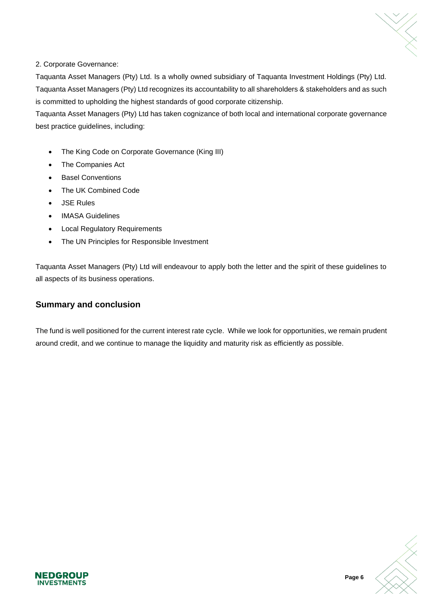#### 2. Corporate Governance:

Taquanta Asset Managers (Pty) Ltd. Is a wholly owned subsidiary of Taquanta Investment Holdings (Pty) Ltd. Taquanta Asset Managers (Pty) Ltd recognizes its accountability to all shareholders & stakeholders and as such is committed to upholding the highest standards of good corporate citizenship.

Taquanta Asset Managers (Pty) Ltd has taken cognizance of both local and international corporate governance best practice guidelines, including:

- The King Code on Corporate Governance (King III)
- The Companies Act
- **Basel Conventions**
- The UK Combined Code
- JSE Rules
- **IMASA Guidelines**
- Local Regulatory Requirements
- The UN Principles for Responsible Investment

Taquanta Asset Managers (Pty) Ltd will endeavour to apply both the letter and the spirit of these guidelines to all aspects of its business operations.

# **Summary and conclusion**

**NEDGROUP INVESTMENTS** 

The fund is well positioned for the current interest rate cycle. While we look for opportunities, we remain prudent around credit, and we continue to manage the liquidity and maturity risk as efficiently as possible.